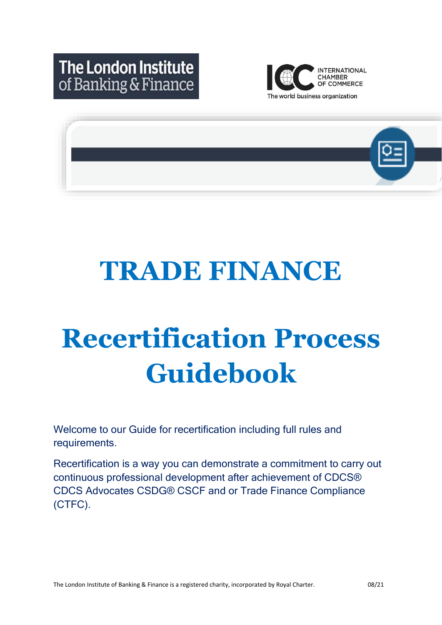



# **TRADE FINANCE**

# **Recertification Process Guidebook**

Welcome to our Guide for recertification including full rules and requirements.

Recertification is a way you can demonstrate a commitment to carry out continuous professional development after achievement of CDCS® CDCS Advocates CSDG® CSCF and or Trade Finance Compliance (CTFC).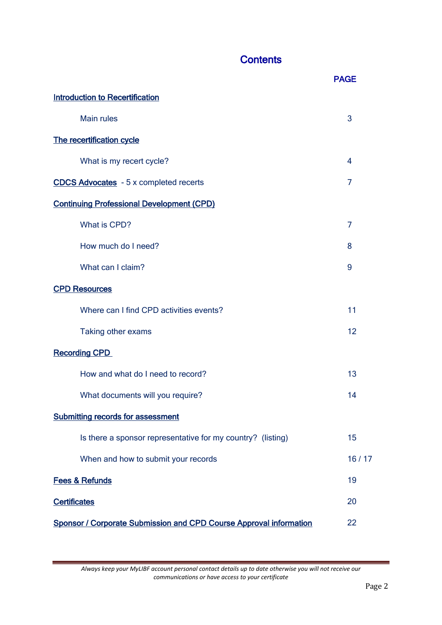# **Contents**

|                                                                           | <b>PAGE</b> |
|---------------------------------------------------------------------------|-------------|
| <b>Introduction to Recertification</b>                                    |             |
| <b>Main rules</b>                                                         | 3           |
| The recertification cycle                                                 |             |
| What is my recert cycle?                                                  | 4           |
| <b>CDCS Advocates</b> - 5 x completed recerts                             | 7           |
| <b>Continuing Professional Development (CPD)</b>                          |             |
| What is CPD?                                                              | 7           |
| How much do I need?                                                       | 8           |
| What can I claim?                                                         | 9           |
| <b>CPD Resources</b>                                                      |             |
| Where can I find CPD activities events?                                   | 11          |
| Taking other exams                                                        | 12          |
| <b>Recording CPD</b>                                                      |             |
| How and what do I need to record?                                         | 13          |
| What documents will you require?                                          | 14          |
| <b>Submitting records for assessment</b>                                  |             |
| Is there a sponsor representative for my country? (listing)               | 15          |
| When and how to submit your records                                       | 16/17       |
| <b>Fees &amp; Refunds</b>                                                 | 19          |
| <b>Certificates</b>                                                       | 20          |
| <b>Sponsor / Corporate Submission and CPD Course Approval information</b> | 22          |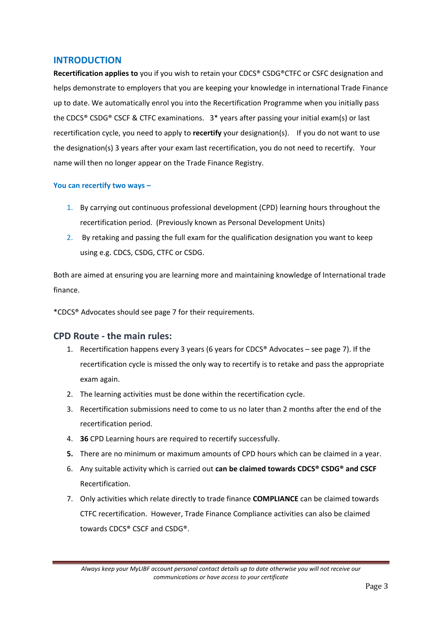#### **INTRODUCTION**

**Recertification applies to** you if you wish to retain your CDCS® CSDG®CTFC or CSFC designation and helps demonstrate to employers that you are keeping your knowledge in international Trade Finance up to date. We automatically enrol you into the Recertification Programme when you initially pass the CDCS® CSDG® CSCF & CTFC examinations. 3\* years after passing your initial exam(s) or last recertification cycle, you need to apply to **recertify** your designation(s). If you do not want to use the designation(s) 3 years after your exam last recertification, you do not need to recertify. Your name will then no longer appear on the Trade Finance Registry.

#### **You can recertify two ways –**

- 1. By carrying out continuous professional development (CPD) learning hours throughout the recertification period. (Previously known as Personal Development Units)
- 2. By retaking and passing the full exam for the qualification designation you want to keep using e.g. CDCS, CSDG, CTFC or CSDG.

Both are aimed at ensuring you are learning more and maintaining knowledge of International trade finance.

\*CDCS® Advocates should see page 7 for their requirements.

#### **CPD Route - the main rules:**

- 1. Recertification happens every 3 years (6 years for CDCS® Advocates see page 7). If the recertification cycle is missed the only way to recertify is to retake and pass the appropriate exam again.
- 2. The learning activities must be done within the recertification cycle.
- 3. Recertification submissions need to come to us no later than 2 months after the end of the recertification period.
- 4. **36** CPD Learning hours are required to recertify successfully.
- **5.** There are no minimum or maximum amounts of CPD hours which can be claimed in a year.
- 6. Any suitable activity which is carried out **can be claimed towards CDCS® CSDG® and CSCF**  Recertification.
- 7. Only activities which relate directly to trade finance **COMPLIANCE** can be claimed towards CTFC recertification. However, Trade Finance Compliance activities can also be claimed towards CDCS® CSCF and CSDG®.

*Always keep your MyLIBF account personal contact details up to date otherwise you will not receive our communications or have access to your certificate*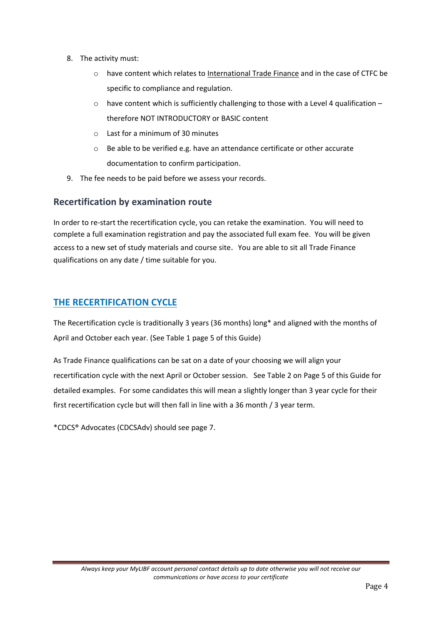- 8. The activity must:
	- o have content which relates to International Trade Finance and in the case of CTFC be specific to compliance and regulation.
	- $\circ$  have content which is sufficiently challenging to those with a Level 4 qualification therefore NOT INTRODUCTORY or BASIC content
	- $\circ$  Last for a minimum of 30 minutes
	- o Be able to be verified e.g. have an attendance certificate or other accurate documentation to confirm participation.
- 9. The fee needs to be paid before we assess your records.

## **Recertification by examination route**

In order to re-start the recertification cycle, you can retake the examination. You will need to complete a full examination registration and pay the associated full exam fee. You will be given access to a new set of study materials and course site. You are able to sit all Trade Finance qualifications on any date / time suitable for you.

## **THE RECERTIFICATION CYCLE**

The Recertification cycle is traditionally 3 years (36 months) long\* and aligned with the months of April and October each year. (See Table 1 page 5 of this Guide)

As Trade Finance qualifications can be sat on a date of your choosing we will align your recertification cycle with the next April or October session. See Table 2 on Page 5 of this Guide for detailed examples. For some candidates this will mean a slightly longer than 3 year cycle for their first recertification cycle but will then fall in line with a 36 month / 3 year term.

\*CDCS® Advocates (CDCSAdv) should see page 7.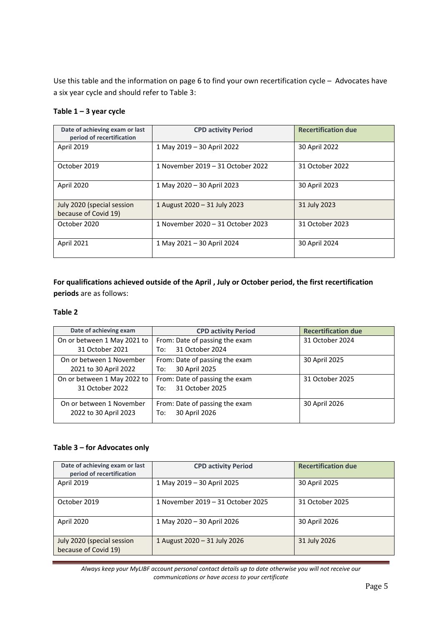Use this table and the information on page 6 to find your own recertification cycle – Advocates have a six year cycle and should refer to Table 3:

#### **Table 1 – 3 year cycle**

| Date of achieving exam or last<br>period of recertification | <b>CPD activity Period</b>        | <b>Recertification due</b> |
|-------------------------------------------------------------|-----------------------------------|----------------------------|
| <b>April 2019</b>                                           | 1 May 2019 - 30 April 2022        | 30 April 2022              |
| October 2019                                                | 1 November 2019 – 31 October 2022 | 31 October 2022            |
| April 2020                                                  | 1 May 2020 - 30 April 2023        | 30 April 2023              |
| July 2020 (special session<br>because of Covid 19)          | 1 August 2020 - 31 July 2023      | 31 July 2023               |
| October 2020                                                | 1 November 2020 – 31 October 2023 | 31 October 2023            |
| April 2021                                                  | 1 May 2021 - 30 April 2024        | 30 April 2024              |

**For qualifications achieved outside of the April , July or October period, the first recertification periods** are as follows:

#### **Table 2**

| Date of achieving exam                            | <b>CPD activity Period</b>                               | <b>Recertification due</b> |
|---------------------------------------------------|----------------------------------------------------------|----------------------------|
| On or between 1 May 2021 to                       | From: Date of passing the exam                           | 31 October 2024            |
| 31 October 2021                                   | 31 October 2024<br>To:                                   |                            |
| On or between 1 November<br>2021 to 30 April 2022 | From: Date of passing the exam<br>30 April 2025<br>To:   | 30 April 2025              |
| On or between 1 May 2022 to<br>31 October 2022    | From: Date of passing the exam<br>31 October 2025<br>To: | 31 October 2025            |
| On or between 1 November<br>2022 to 30 April 2023 | From: Date of passing the exam<br>30 April 2026<br>To:   | 30 April 2026              |

#### **Table 3 – for Advocates only**

| Date of achieving exam or last<br>period of recertification | <b>CPD activity Period</b>        | <b>Recertification due</b> |
|-------------------------------------------------------------|-----------------------------------|----------------------------|
| <b>April 2019</b>                                           | 1 May 2019 - 30 April 2025        | 30 April 2025              |
| October 2019                                                | 1 November 2019 – 31 October 2025 | 31 October 2025            |
| April 2020                                                  | 1 May 2020 - 30 April 2026        | 30 April 2026              |
| July 2020 (special session<br>because of Covid 19)          | 1 August 2020 - 31 July 2026      | 31 July 2026               |

*Always keep your MyLIBF account personal contact details up to date otherwise you will not receive our communications or have access to your certificate*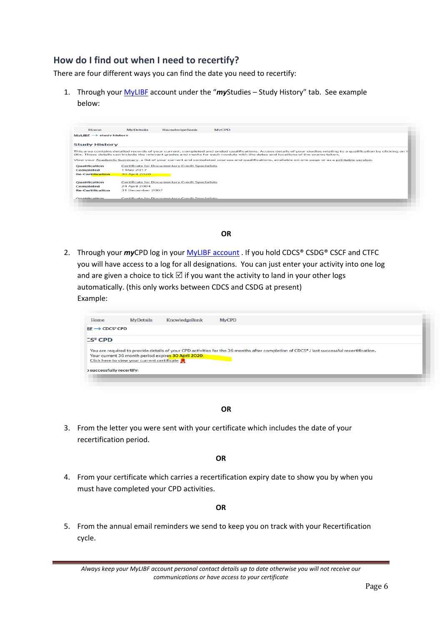## **How do I find out when I need to recertify?**

There are four different ways you can find the date you need to recertify:

1. Through your [MyLIBF](https://my.ifslearning.ac.uk/Account/login.aspx?ReturnUrl=%2f) account under the "*my*Studies – Study History" tab. See example below:

| Home                                   | <b>MyDetails</b>     | KnowledgeBank                                         | <b>MvCPD</b>                                                                                                                                                                                                                                                                                             |
|----------------------------------------|----------------------|-------------------------------------------------------|----------------------------------------------------------------------------------------------------------------------------------------------------------------------------------------------------------------------------------------------------------------------------------------------------------|
| $MVLIBE \longrightarrow$ study history |                      |                                                       |                                                                                                                                                                                                                                                                                                          |
| <b>Study History</b>                   |                      |                                                       |                                                                                                                                                                                                                                                                                                          |
|                                        |                      |                                                       | This area contains detailed records of your current, completed and ended qualifications. Access details of your studies relating to a qualification by clicking on it<br>title. These details can include the relevant grades and marks for each module with the dates and locations of the exams taken. |
|                                        |                      |                                                       | View your Academic Summary, a list of your current and completed courses and qualifications, available on one page or as a printable version.                                                                                                                                                            |
| <b>Qualification</b>                   |                      | <b>Certificate for Documentary Credit Specialists</b> |                                                                                                                                                                                                                                                                                                          |
| Completed                              | 1 May 2017           |                                                       |                                                                                                                                                                                                                                                                                                          |
| <b>Re-Certification</b>                | <b>30 April 2020</b> |                                                       |                                                                                                                                                                                                                                                                                                          |
|                                        |                      | <b>Certificate for Documentary Credit Specialists</b> |                                                                                                                                                                                                                                                                                                          |
| <b>Qualification</b>                   |                      |                                                       |                                                                                                                                                                                                                                                                                                          |
| Completed                              | 24 April 2004        |                                                       |                                                                                                                                                                                                                                                                                                          |
| <b>Re-Certification</b>                | 31 December 2007     |                                                       |                                                                                                                                                                                                                                                                                                          |
| Qualification                          |                      | <b>Certificate for Documentary Credit Specialists</b> |                                                                                                                                                                                                                                                                                                          |

#### **OR**

2. Through your *my*CPD log in your MyLIBF [account](https://my.ifslearning.ac.uk/) . If you hold CDCS® CSDG® CSCF and CTFC you will have access to a log for all designations. You can just enter your activity into one log and are given a choice to tick  $\boxtimes$  if you want the activity to land in your other logs automatically. (this only works between CDCS and CSDG at present) Example:

| Home                           | MyDetails                                   | KnowledgeBank                                       | <b>MvCPD</b>                                                                                                                              |  |
|--------------------------------|---------------------------------------------|-----------------------------------------------------|-------------------------------------------------------------------------------------------------------------------------------------------|--|
| $BF \longrightarrow CDCS^*CPD$ |                                             |                                                     |                                                                                                                                           |  |
| $\mathbb{C}S^{\circ}$ CPD      |                                             |                                                     |                                                                                                                                           |  |
|                                |                                             |                                                     | You are required to provide details of your CPD activities for the 36 months after completion of CDCS* / last successful recertification. |  |
|                                |                                             |                                                     |                                                                                                                                           |  |
|                                | Click here to view your current certificate | Your current 36 month period expires 30 April 2020. |                                                                                                                                           |  |

#### **OR**

3. From the letter you were sent with your certificate which includes the date of your recertification period.

**OR**

4. From your certificate which carries a recertification expiry date to show you by when you must have completed your CPD activities.

**OR**

5. From the annual email reminders we send to keep you on track with your Recertification cycle.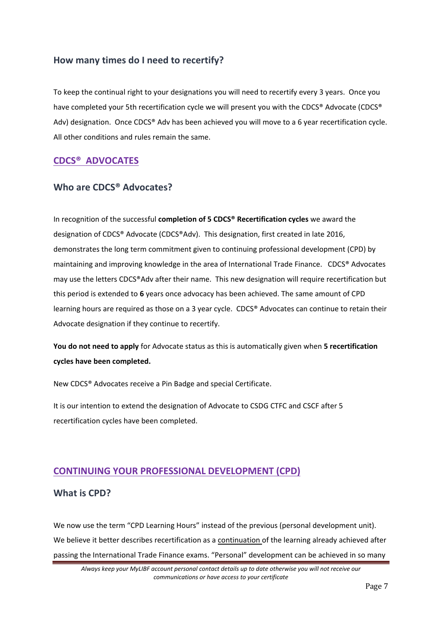## **How many times do I need to recertify?**

To keep the continual right to your designations you will need to recertify every 3 years. Once you have completed your 5th recertification cycle we will present you with the CDCS® Advocate (CDCS® Adv) designation. Once CDCS® Adv has been achieved you will move to a 6 year recertification cycle. All other conditions and rules remain the same.

## **CDCS® ADVOCATES**

## **Who are CDCS® Advocates?**

In recognition of the successful **completion of 5 CDCS® Recertification cycles** we award the designation of CDCS® Advocate (CDCS®Adv). This designation, first created in late 2016, demonstrates the long term commitment given to continuing professional development (CPD) by maintaining and improving knowledge in the area of International Trade Finance. CDCS® Advocates may use the letters CDCS®Adv after their name. This new designation will require recertification but this period is extended to **6** years once advocacy has been achieved. The same amount of CPD learning hours are required as those on a 3 year cycle. CDCS® Advocates can continue to retain their Advocate designation if they continue to recertify.

**You do not need to apply** for Advocate status as this is automatically given when **5 recertification cycles have been completed.**

New CDCS® Advocates receive a Pin Badge and special Certificate.

It is our intention to extend the designation of Advocate to CSDG CTFC and CSCF after 5 recertification cycles have been completed.

# **CONTINUING YOUR PROFESSIONAL DEVELOPMENT (CPD)**

#### **What is CPD?**

We now use the term "CPD Learning Hours" instead of the previous (personal development unit). We believe it better describes recertification as a continuation of the learning already achieved after passing the International Trade Finance exams. "Personal" development can be achieved in so many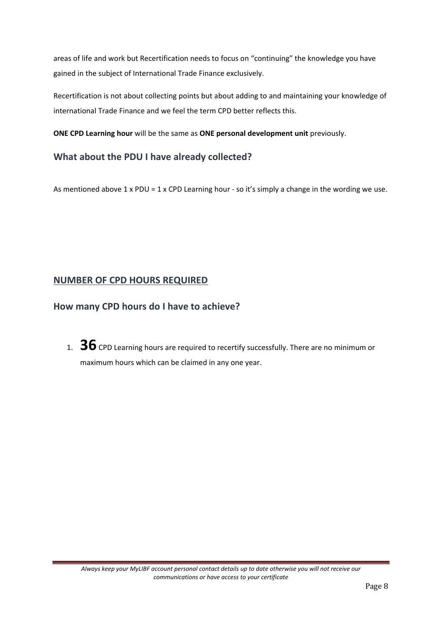areas of life and work but Recertification needs to focus on "continuing" the knowledge you have gained in the subject of International Trade Finance exclusively.

Recertification is not about collecting points but about adding to and maintaining your knowledge of international Trade Finance and we feel the term CPD better reflects this.

**ONE CPD Learning hour** will be the same as **ONE personal development unit** previously.

## **What about the PDU I have already collected?**

As mentioned above  $1 \times \text{PDU} = 1 \times \text{CPD}$  Learning hour - so it's simply a change in the wording we use.

## **NUMBER OF CPD HOURS REQUIRED**

## **How many CPD hours do I have to achieve?**

1. **36** CPD Learning hours are required to recertify successfully. There are no minimum or maximum hours which can be claimed in any one year.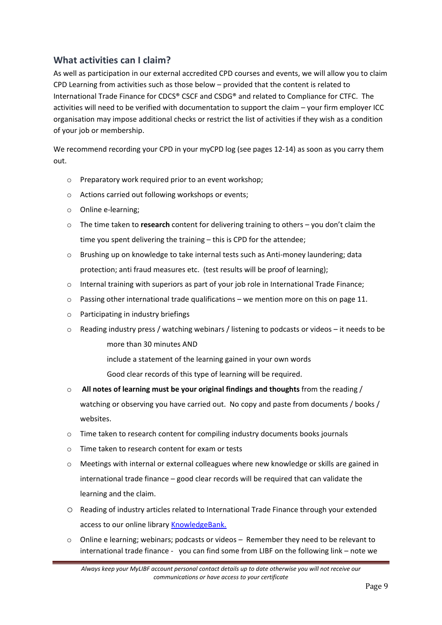## **What activities can I claim?**

As well as participation in our external accredited CPD courses and events, we will allow you to claim CPD Learning from activities such as those below – provided that the content is related to International Trade Finance for CDCS® CSCF and CSDG® and related to Compliance for CTFC. The activities will need to be verified with documentation to support the claim – your firm employer ICC organisation may impose additional checks or restrict the list of activities if they wish as a condition of your job or membership.

We recommend recording your CPD in your myCPD log (see pages 12-14) as soon as you carry them out.

- o Preparatory work required prior to an event workshop;
- o Actions carried out following workshops or events;
- o Online e-learning;
- o The time taken to **research** content for delivering training to others you don't claim the time you spent delivering the training – this is CPD for the attendee;
- o Brushing up on knowledge to take internal tests such as Anti-money laundering; data protection; anti fraud measures etc. (test results will be proof of learning);
- $\circ$  Internal training with superiors as part of your job role in International Trade Finance;
- o Passing other international trade qualifications we mention more on this on page 11.
- o Participating in industry briefings
- $\circ$  Reading industry press / watching webinars / listening to podcasts or videos it needs to be more than 30 minutes AND
	- include a statement of the learning gained in your own words
	- Good clear records of this type of learning will be required.
- o **All notes of learning must be your original findings and thoughts** from the reading / watching or observing you have carried out. No copy and paste from documents / books / websites.
- o Time taken to research content for compiling industry documents books journals
- o Time taken to research content for exam or tests
- o Meetings with internal or external colleagues where new knowledge or skills are gained in international trade finance – good clear records will be required that can validate the learning and the claim.
- o Reading of industry articles related to International Trade Finance through your extended access to our online librar[y KnowledgeBank.](https://kb.libf.ac.uk/)
- Online e learning; webinars; podcasts or videos Remember they need to be relevant to international trade finance - you can find some from LIBF on the following link – note we

*Always keep your MyLIBF account personal contact details up to date otherwise you will not receive our communications or have access to your certificate*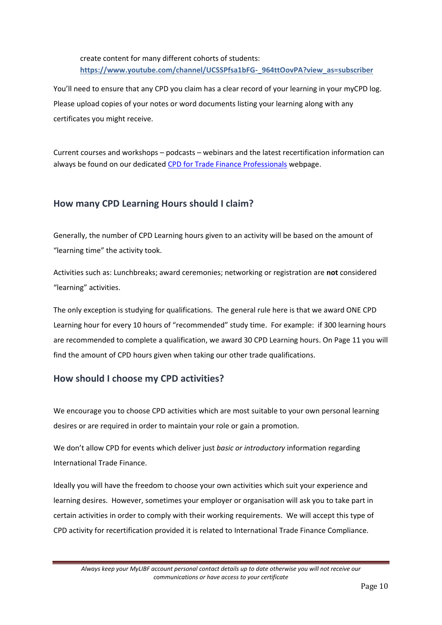create content for many different cohorts of students: **[https://www.youtube.com/channel/UCSSPfsa1bFG-\\_964ttOovPA?view\\_as=subscriber](https://www.youtube.com/channel/UCSSPfsa1bFG-_964ttOovPA?view_as=subscriber)**

You'll need to ensure that any CPD you claim has a clear record of your learning in your myCPD log. Please upload copies of your notes or word documents listing your learning along with any certificates you might receive.

Current courses and workshops – podcasts – webinars and the latest recertification information can always be found on our dedicated [CPD for Trade Finance Professionals](https://www.libf.ac.uk/study/professional-qualifications/trade-finance/cpd-for-trade-finance-professionals) webpage.

## **How many CPD Learning Hours should I claim?**

Generally, the number of CPD Learning hours given to an activity will be based on the amount of "learning time" the activity took.

Activities such as: Lunchbreaks; award ceremonies; networking or registration are **not** considered "learning" activities.

The only exception is studying for qualifications. The general rule here is that we award ONE CPD Learning hour for every 10 hours of "recommended" study time. For example: if 300 learning hours are recommended to complete a qualification, we award 30 CPD Learning hours. On Page 11 you will find the amount of CPD hours given when taking our other trade qualifications.

#### **How should I choose my CPD activities?**

We encourage you to choose CPD activities which are most suitable to your own personal learning desires or are required in order to maintain your role or gain a promotion.

We don't allow CPD for events which deliver just *basic or introductory* information regarding International Trade Finance.

Ideally you will have the freedom to choose your own activities which suit your experience and learning desires. However, sometimes your employer or organisation will ask you to take part in certain activities in order to comply with their working requirements. We will accept this type of CPD activity for recertification provided it is related to International Trade Finance Compliance.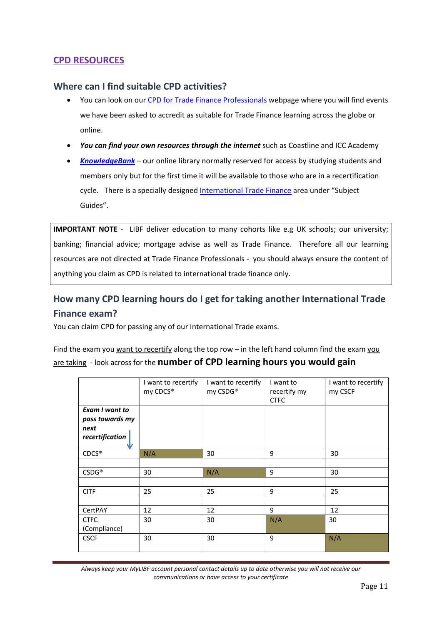## **CPD RESOURCES**

#### **Where can I find suitable CPD activities?**

- You can look on our [CPD for Trade Finance Professionals](https://www.libf.ac.uk/study/professional-qualifications/trade-finance/cpd-for-trade-finance-professionals) webpage where you will find events we have been asked to accredit as suitable for Trade Finance learning across the globe or online.
- You can find your own resources through the internet such as Coastline and ICC Academy
- *[KnowledgeBank](https://kb.libf.ac.uk/subject-guides/home)* our online library normally reserved for access by studying students and members only but for the first time it will be available to those who are in a recertification cycle. There is a specially designed [International Trade Finance](https://kb.libf.ac.uk/library-resources/library-guides/home) area under "Subject Guides".

**IMPORTANT NOTE** - LIBF deliver education to many cohorts like e.g UK schools; our university; banking; financial advice; mortgage advise as well as Trade Finance. Therefore all our learning resources are not directed at Trade Finance Professionals - you should always ensure the content of anything you claim as CPD is related to international trade finance only.

# **How many CPD learning hours do I get for taking another International Trade Finance exam?**

You can claim CPD for passing any of our International Trade exams.

Find the exam you want to recertify along the top row – in the left hand column find the exam you are taking - look across for the **number of CPD learning hours you would gain**

|                                                              | I want to recertify<br>my CDCS® | I want to recertify<br>my CSDG® | I want to<br>recertify my<br><b>CTFC</b> | I want to recertify<br>my CSCF |
|--------------------------------------------------------------|---------------------------------|---------------------------------|------------------------------------------|--------------------------------|
| Exam I want to<br>pass towards my<br>next<br>recertification |                                 |                                 |                                          |                                |
| $CDCS^*$                                                     | N/A                             | 30                              | 9                                        | 30                             |
|                                                              |                                 |                                 |                                          |                                |
| $\mathsf{CSDG}^\circledast$                                  | 30                              | N/A                             | 9                                        | 30                             |
|                                                              |                                 |                                 |                                          |                                |
| <b>CITF</b>                                                  | 25                              | 25                              | 9                                        | 25                             |
|                                                              |                                 |                                 |                                          |                                |
| CertPAY                                                      | 12                              | 12                              | 9                                        | 12                             |
| <b>CTFC</b>                                                  | 30                              | 30                              | N/A                                      | 30                             |
| (Compliance)                                                 |                                 |                                 |                                          |                                |
| <b>CSCF</b>                                                  | 30                              | 30                              | 9                                        | N/A                            |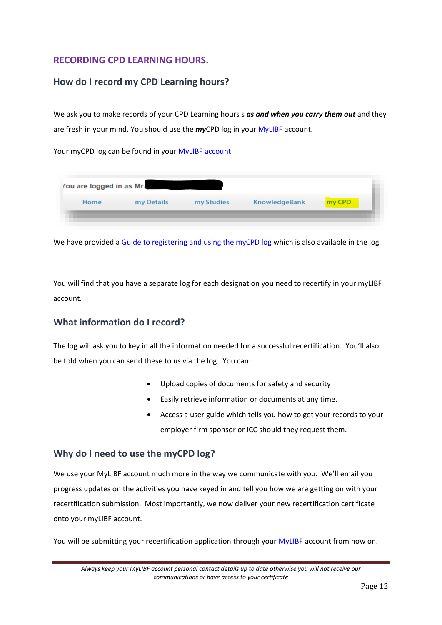## **RECORDING CPD LEARNING HOURS.**

## **How do I record my CPD Learning hours?**

We ask you to make records of your CPD Learning hours s *as and when you carry them out* and they are fresh in your mind. You should use the *my*CPD log in your [MyLIBF](https://my.ifslearning.ac.uk/) account.

Your myCPD log can be found in your MyLIBF account.

| You are logged in as Mr. |            |            |                      |        |
|--------------------------|------------|------------|----------------------|--------|
| Home                     | my Details | my Studies | <b>KnowledgeBank</b> | my CPD |

We have provided a [Guide to registering and using the myCPD log](https://my.libf.ac.uk/MyCPD/CDCS/Index.aspx) which is also available in the log

You will find that you have a separate log for each designation you need to recertify in your myLIBF account.

## **What information do I record?**

The log will ask you to key in all the information needed for a successful recertification. You'll also be told when you can send these to us via the log. You can:

- Upload copies of documents for safety and security
- Easily retrieve information or documents at any time.
- Access a user guide which tells you how to get your records to your employer firm sponsor or ICC should they request them.

#### **Why do I need to use the myCPD log?**

We use your MyLIBF account much more in the way we communicate with you. We'll email you progress updates on the activities you have keyed in and tell you how we are getting on with your recertification submission. Most importantly, we now deliver your new recertification certificate onto your myLIBF account.

You will be submitting your recertification application through your [MyLIBF](https://my.libf.ac.uk/Account/login.aspx?site=myifslearning&ReturnUrl=%2f) account from now on.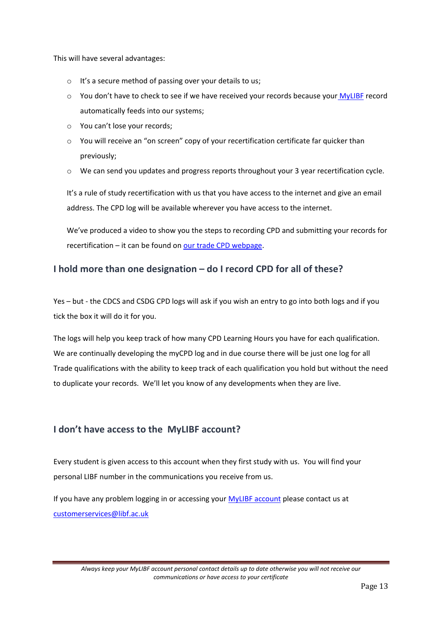This will have several advantages:

- o It's a secure method of passing over your details to us;
- $\circ$  You don't have to check to see if we have received your records because your [MyLIBF](https://my.libf.ac.uk/Account/login.aspx?site=myifslearning&ReturnUrl=%2f) record automatically feeds into our systems;
- o You can't lose your records;
- o You will receive an "on screen" copy of your recertification certificate far quicker than previously;
- o We can send you updates and progress reports throughout your 3 year recertification cycle.

It's a rule of study recertification with us that you have access to the internet and give an email address. The CPD log will be available wherever you have access to the internet.

We've produced a video to show you the steps to recording CPD and submitting your records for recertification – it can be found on [our trade CPD webpage.](https://www.libf.ac.uk/study/professional-qualifications/trade-finance/cpd-for-trade-finance-professionals)

# **I hold more than one designation – do I record CPD for all of these?**

Yes – but - the CDCS and CSDG CPD logs will ask if you wish an entry to go into both logs and if you tick the box it will do it for you.

The logs will help you keep track of how many CPD Learning Hours you have for each qualification. We are continually developing the myCPD log and in due course there will be just one log for all Trade qualifications with the ability to keep track of each qualification you hold but without the need to duplicate your records. We'll let you know of any developments when they are live.

# **I don't have access to the MyLIBF account?**

Every student is given access to this account when they first study with us. You will find your personal LIBF number in the communications you receive from us.

If you have any problem logging in or accessing your **MyLIBF** [account](https://my.libf.ac.uk/Account/login.aspx?site=myifslearning&ReturnUrl=%2f) please contact us at [customerservices@libf.ac.uk](mailto:customerservices@libf.ac.uk)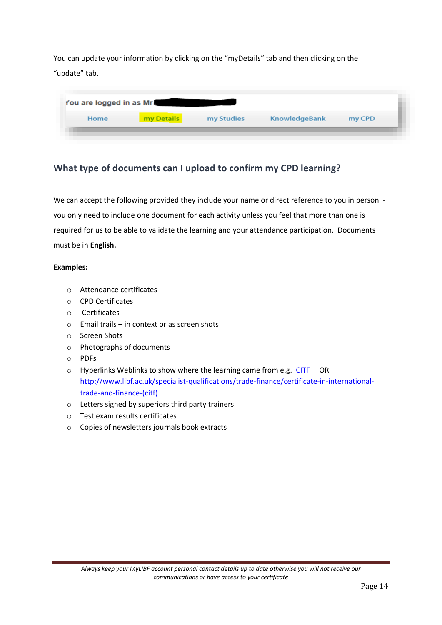You can update your information by clicking on the "myDetails" tab and then clicking on the "update" tab.

|      | You are logged in as Mr. |            |                      |        |
|------|--------------------------|------------|----------------------|--------|
| Home | my Details               | my Studies | <b>KnowledgeBank</b> | my CPD |

# **What type of documents can I upload to confirm my CPD learning?**

We can accept the following provided they include your name or direct reference to you in person you only need to include one document for each activity unless you feel that more than one is required for us to be able to validate the learning and your attendance participation. Documents must be in **English.** 

#### **Examples:**

- o Attendance certificates
- o CPD Certificates
- o Certificates
- o Email trails in context or as screen shots
- o Screen Shots
- o Photographs of documents
- o PDFs
- $\circ$  Hyperlinks Weblinks to show where the learning came from e.g. [CITF](http://www.ifslearning.ac.uk/specialist-qualifications/trade-finance/certificate-in-international-trade-and-finance-(citf)) OR [http://www.libf.ac.uk/specialist-qualifications/trade-finance/certificate-in-international](http://www.libf.ac.uk/specialist-qualifications/trade-finance/certificate-in-international-trade-and-finance-(citf))[trade-and-finance-\(citf\)](http://www.libf.ac.uk/specialist-qualifications/trade-finance/certificate-in-international-trade-and-finance-(citf))
- o Letters signed by superiors third party trainers
- o Test exam results certificates
- o Copies of newsletters journals book extracts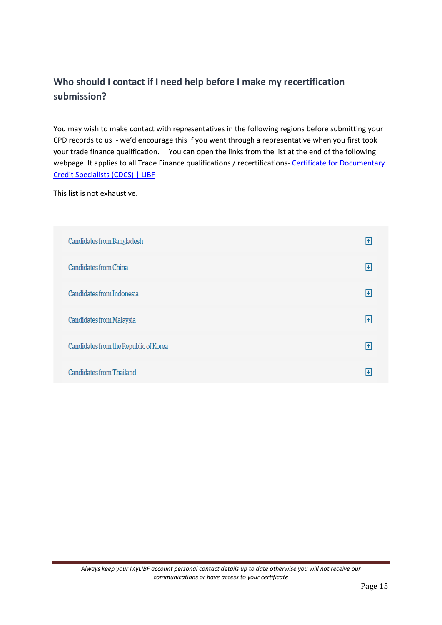# **Who should I contact if I need help before I make my recertification submission?**

You may wish to make contact with representatives in the following regions before submitting your CPD records to us - we'd encourage this if you went through a representative when you first took your trade finance qualification. You can open the links from the list at the end of the following webpage. It applies to all Trade Finance qualifications / recertifications- Certificate for Documentary [Credit Specialists \(CDCS\) | LIBF](https://www.libf.ac.uk/study/professional-qualifications/trade-finance/certificate-for-documentary-credit-specialists-(cdcs))

This list is not exhaustive.

| <b>Candidates from Bangladesh</b>     | H |
|---------------------------------------|---|
| Candidates from China                 | F |
| Candidates from Indonesia             | H |
| Candidates from Malaysia              | H |
| Candidates from the Republic of Korea | H |
| <b>Candidates from Thailand</b>       | ŀ |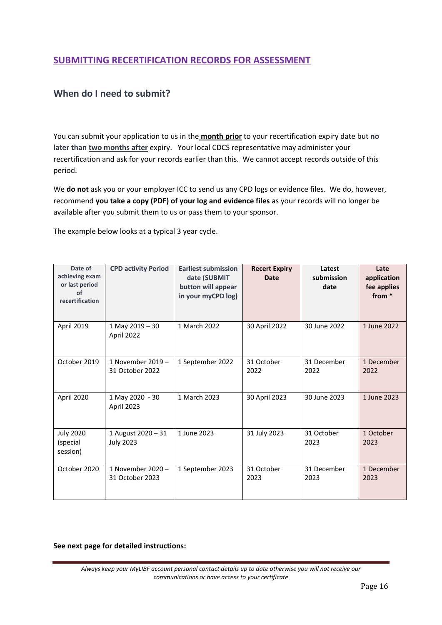## **SUBMITTING RECERTIFICATION RECORDS FOR ASSESSMENT**

## **When do I need to submit?**

You can submit your application to us in the **month prior** to your recertification expiry date but **no later than two months after** expiry. Your local CDCS representative may administer your recertification and ask for your records earlier than this. We cannot accept records outside of this period.

We **do not** ask you or your employer ICC to send us any CPD logs or evidence files. We do, however, recommend **you take a copy (PDF) of your log and evidence files** as your records will no longer be available after you submit them to us or pass them to your sponsor.

The example below looks at a typical 3 year cycle.

| Date of<br>achieving exam<br>or last period<br>of<br>recertification | <b>CPD activity Period</b>             | <b>Earliest submission</b><br>date (SUBMIT<br>button will appear<br>in your myCPD log) | <b>Recert Expiry</b><br><b>Date</b> | Latest<br>submission<br>date | Late<br>application<br>fee applies<br>from * |
|----------------------------------------------------------------------|----------------------------------------|----------------------------------------------------------------------------------------|-------------------------------------|------------------------------|----------------------------------------------|
| <b>April 2019</b>                                                    | 1 May 2019 - 30<br>April 2022          | 1 March 2022                                                                           | 30 April 2022                       | 30 June 2022                 | 1 June 2022                                  |
| October 2019                                                         | 1 November 2019 -<br>31 October 2022   | 1 September 2022                                                                       | 31 October<br>2022                  | 31 December<br>2022          | 1 December<br>2022                           |
| April 2020                                                           | 1 May 2020 - 30<br>April 2023          | 1 March 2023                                                                           | 30 April 2023                       | 30 June 2023                 | 1 June 2023                                  |
| <b>July 2020</b><br>(special<br>session)                             | 1 August 2020 - 31<br><b>July 2023</b> | 1 June 2023                                                                            | 31 July 2023                        | 31 October<br>2023           | 1 October<br>2023                            |
| October 2020                                                         | 1 November 2020 -<br>31 October 2023   | 1 September 2023                                                                       | 31 October<br>2023                  | 31 December<br>2023          | 1 December<br>2023                           |

**See next page for detailed instructions:**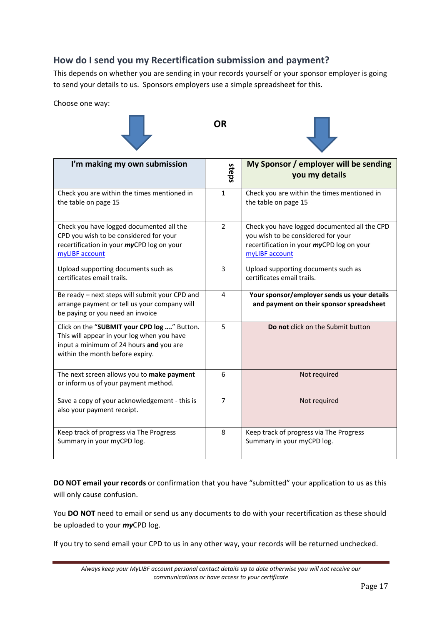# **How do I send you my Recertification submission and payment?**

This depends on whether you are sending in your records yourself or your sponsor employer is going to send your details to us. Sponsors employers use a simple spreadsheet for this.

**OR**

Choose one way:





| I'm making my own submission                                                                                                                                            | steps          | My Sponsor / employer will be sending<br>you my details                                                                                           |
|-------------------------------------------------------------------------------------------------------------------------------------------------------------------------|----------------|---------------------------------------------------------------------------------------------------------------------------------------------------|
| Check you are within the times mentioned in<br>the table on page 15                                                                                                     | $\mathbf{1}$   | Check you are within the times mentioned in<br>the table on page 15                                                                               |
| Check you have logged documented all the<br>CPD you wish to be considered for your<br>recertification in your myCPD log on your<br>myLIBF account                       | $\overline{2}$ | Check you have logged documented all the CPD<br>you wish to be considered for your<br>recertification in your myCPD log on your<br>myLIBF account |
| Upload supporting documents such as<br>certificates email trails.                                                                                                       | 3              | Upload supporting documents such as<br>certificates email trails.                                                                                 |
| Be ready - next steps will submit your CPD and<br>arrange payment or tell us your company will<br>be paying or you need an invoice                                      | 4              | Your sponsor/employer sends us your details<br>and payment on their sponsor spreadsheet                                                           |
| Click on the "SUBMIT your CPD log " Button.<br>This will appear in your log when you have<br>input a minimum of 24 hours and you are<br>within the month before expiry. | 5              | Do not click on the Submit button                                                                                                                 |
| The next screen allows you to make payment<br>or inform us of your payment method.                                                                                      | 6              | Not required                                                                                                                                      |
| Save a copy of your acknowledgement - this is<br>also your payment receipt.                                                                                             | $\overline{7}$ | Not required                                                                                                                                      |
| Keep track of progress via The Progress<br>Summary in your myCPD log.                                                                                                   | 8              | Keep track of progress via The Progress<br>Summary in your myCPD log.                                                                             |

**DO NOT email your records** or confirmation that you have "submitted" your application to us as this will only cause confusion.

You **DO NOT** need to email or send us any documents to do with your recertification as these should be uploaded to your *my*CPD log.

If you try to send email your CPD to us in any other way, your records will be returned unchecked.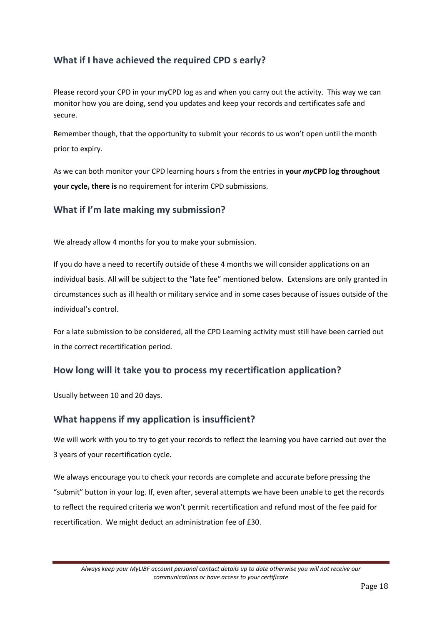# **What if I have achieved the required CPD s early?**

Please record your CPD in your myCPD log as and when you carry out the activity. This way we can monitor how you are doing, send you updates and keep your records and certificates safe and secure.

Remember though, that the opportunity to submit your records to us won't open until the month prior to expiry.

As we can both monitor your CPD learning hours s from the entries in **your** *my***CPD log throughout your cycle, there is** no requirement for interim CPD submissions.

## **What if I'm late making my submission?**

We already allow 4 months for you to make your submission.

If you do have a need to recertify outside of these 4 months we will consider applications on an individual basis. All will be subject to the "late fee" mentioned below. Extensions are only granted in circumstances such as ill health or military service and in some cases because of issues outside of the individual's control.

For a late submission to be considered, all the CPD Learning activity must still have been carried out in the correct recertification period.

## **How long will it take you to process my recertification application?**

Usually between 10 and 20 days.

## **What happens if my application is insufficient?**

We will work with you to try to get your records to reflect the learning you have carried out over the 3 years of your recertification cycle.

We always encourage you to check your records are complete and accurate before pressing the "submit" button in your log. If, even after, several attempts we have been unable to get the records to reflect the required criteria we won't permit recertification and refund most of the fee paid for recertification. We might deduct an administration fee of £30.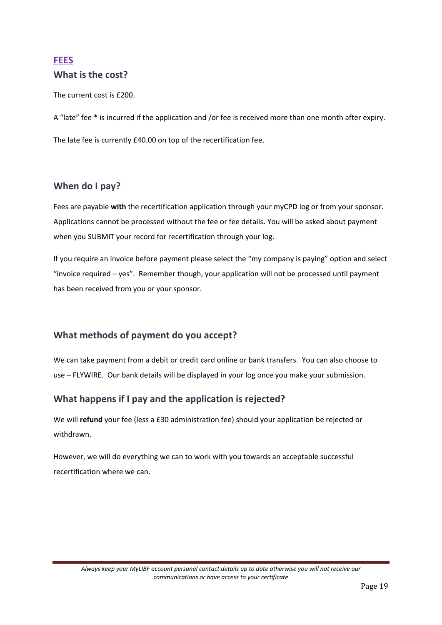# **FEES What is the cost?**

The current cost is £200.

A "late" fee \* is incurred if the application and /or fee is received more than one month after expiry. The late fee is currently £40.00 on top of the recertification fee.

## **When do I pay?**

Fees are payable **with** the recertification application through your myCPD log or from your sponsor. Applications cannot be processed without the fee or fee details. You will be asked about payment when you SUBMIT your record for recertification through your log.

If you require an invoice before payment please select the "my company is paying" option and select "invoice required – yes". Remember though, your application will not be processed until payment has been received from you or your sponsor.

# **What methods of payment do you accept?**

We can take payment from a debit or credit card online or bank transfers. You can also choose to use – FLYWIRE. Our bank details will be displayed in your log once you make your submission.

# **What happens if I pay and the application is rejected?**

We will **refund** your fee (less a £30 administration fee) should your application be rejected or withdrawn.

However, we will do everything we can to work with you towards an acceptable successful recertification where we can.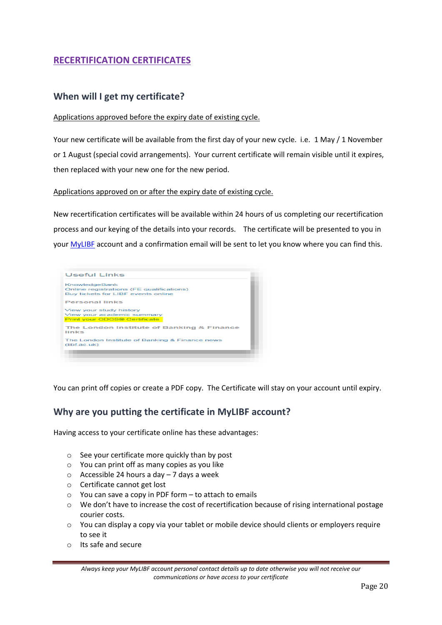# **RECERTIFICATION CERTIFICATES**

#### **When will I get my certificate?**

#### Applications approved before the expiry date of existing cycle.

Your new certificate will be available from the first day of your new cycle. i.e. 1 May / 1 November or 1 August (special covid arrangements). Your current certificate will remain visible until it expires, then replaced with your new one for the new period.

#### Applications approved on or after the expiry date of existing cycle.

New recertification certificates will be available within 24 hours of us completing our recertification process and our keying of the details into your records. The certificate will be presented to you in your [MyLIBF](https://my.libf.ac.uk/Account/Login.aspx) account and a confirmation email will be sent to let you know where you can find this.



You can print off copies or create a PDF copy. The Certificate will stay on your account until expiry.

#### **Why are you putting the certificate in MyLIBF account?**

Having access to your certificate online has these advantages:

- o See your certificate more quickly than by post
- o You can print off as many copies as you like
- $\circ$  Accessible 24 hours a day 7 days a week
- o Certificate cannot get lost
- $\circ$  You can save a copy in PDF form to attach to emails
- o We don't have to increase the cost of recertification because of rising international postage courier costs.
- $\circ$  You can display a copy via your tablet or mobile device should clients or employers require to see it
- o Its safe and secure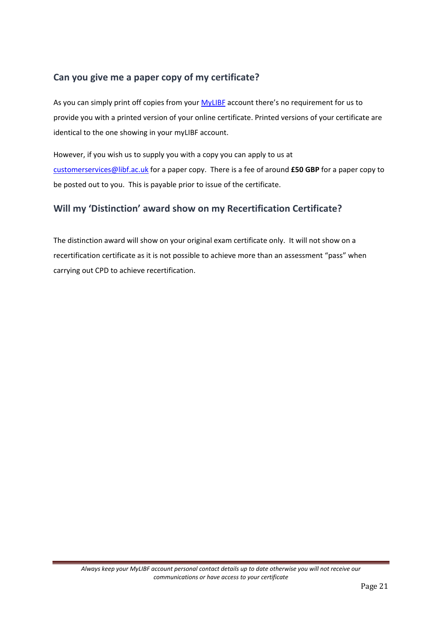# **Can you give me a paper copy of my certificate?**

As you can simply print off copies from your [MyLIBF](https://my.libf.ac.uk/Account/login.aspx?site=myifslearning&ReturnUrl=%2f) account there's no requirement for us to provide you with a printed version of your online certificate. Printed versions of your certificate are identical to the one showing in your myLIBF account.

However, if you wish us to supply you with a copy you can apply to us at [customerservices@libf.ac.uk](mailto:customerservices@libf.ac.uk) for a paper copy. There is a fee of around **£50 GBP** for a paper copy to be posted out to you. This is payable prior to issue of the certificate.

## **Will my 'Distinction' award show on my Recertification Certificate?**

The distinction award will show on your original exam certificate only. It will not show on a recertification certificate as it is not possible to achieve more than an assessment "pass" when carrying out CPD to achieve recertification.